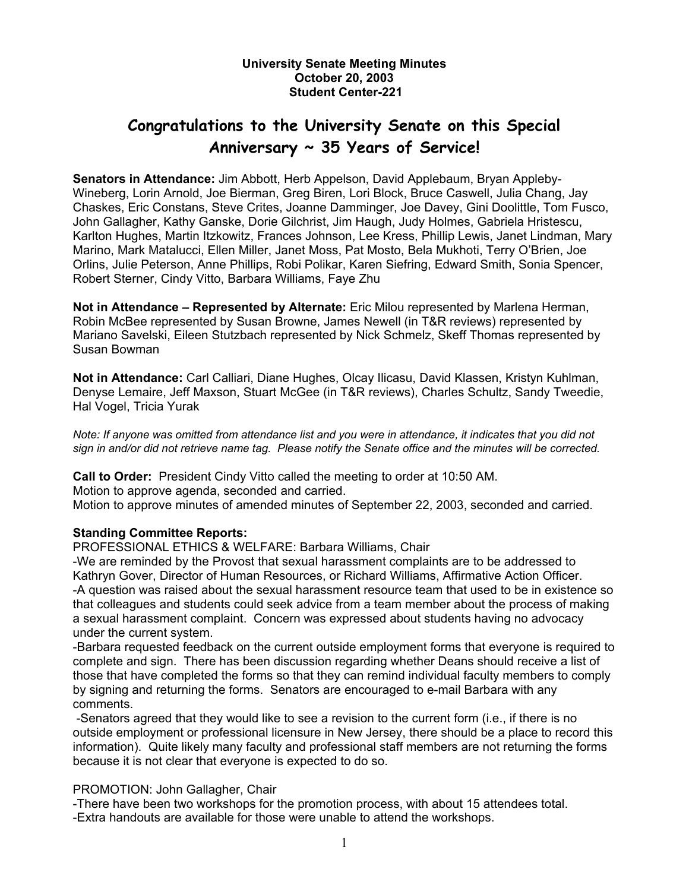#### **University Senate Meeting Minutes October 20, 2003 Student Center-221**

# **Congratulations to the University Senate on this Special Anniversary ~ 35 Years of Service!**

**Senators in Attendance:** Jim Abbott, Herb Appelson, David Applebaum, Bryan Appleby-Wineberg, Lorin Arnold, Joe Bierman, Greg Biren, Lori Block, Bruce Caswell, Julia Chang, Jay Chaskes, Eric Constans, Steve Crites, Joanne Damminger, Joe Davey, Gini Doolittle, Tom Fusco, John Gallagher, Kathy Ganske, Dorie Gilchrist, Jim Haugh, Judy Holmes, Gabriela Hristescu, Karlton Hughes, Martin Itzkowitz, Frances Johnson, Lee Kress, Phillip Lewis, Janet Lindman, Mary Marino, Mark Matalucci, Ellen Miller, Janet Moss, Pat Mosto, Bela Mukhoti, Terry O'Brien, Joe Orlins, Julie Peterson, Anne Phillips, Robi Polikar, Karen Siefring, Edward Smith, Sonia Spencer, Robert Sterner, Cindy Vitto, Barbara Williams, Faye Zhu

**Not in Attendance – Represented by Alternate:** Eric Milou represented by Marlena Herman, Robin McBee represented by Susan Browne, James Newell (in T&R reviews) represented by Mariano Savelski, Eileen Stutzbach represented by Nick Schmelz, Skeff Thomas represented by Susan Bowman

**Not in Attendance:** Carl Calliari, Diane Hughes, Olcay Ilicasu, David Klassen, Kristyn Kuhlman, Denyse Lemaire, Jeff Maxson, Stuart McGee (in T&R reviews), Charles Schultz, Sandy Tweedie, Hal Vogel, Tricia Yurak

*Note: If anyone was omitted from attendance list and you were in attendance, it indicates that you did not sign in and/or did not retrieve name tag. Please notify the Senate office and the minutes will be corrected.* 

**Call to Order:** President Cindy Vitto called the meeting to order at 10:50 AM. Motion to approve agenda, seconded and carried. Motion to approve minutes of amended minutes of September 22, 2003, seconded and carried.

## **Standing Committee Reports:**

PROFESSIONAL ETHICS & WELFARE: Barbara Williams, Chair

-We are reminded by the Provost that sexual harassment complaints are to be addressed to Kathryn Gover, Director of Human Resources, or Richard Williams, Affirmative Action Officer. -A question was raised about the sexual harassment resource team that used to be in existence so that colleagues and students could seek advice from a team member about the process of making a sexual harassment complaint. Concern was expressed about students having no advocacy under the current system.

-Barbara requested feedback on the current outside employment forms that everyone is required to complete and sign. There has been discussion regarding whether Deans should receive a list of those that have completed the forms so that they can remind individual faculty members to comply by signing and returning the forms. Senators are encouraged to e-mail Barbara with any comments.

 -Senators agreed that they would like to see a revision to the current form (i.e., if there is no outside employment or professional licensure in New Jersey, there should be a place to record this information). Quite likely many faculty and professional staff members are not returning the forms because it is not clear that everyone is expected to do so.

## PROMOTION: John Gallagher, Chair

-There have been two workshops for the promotion process, with about 15 attendees total. -Extra handouts are available for those were unable to attend the workshops.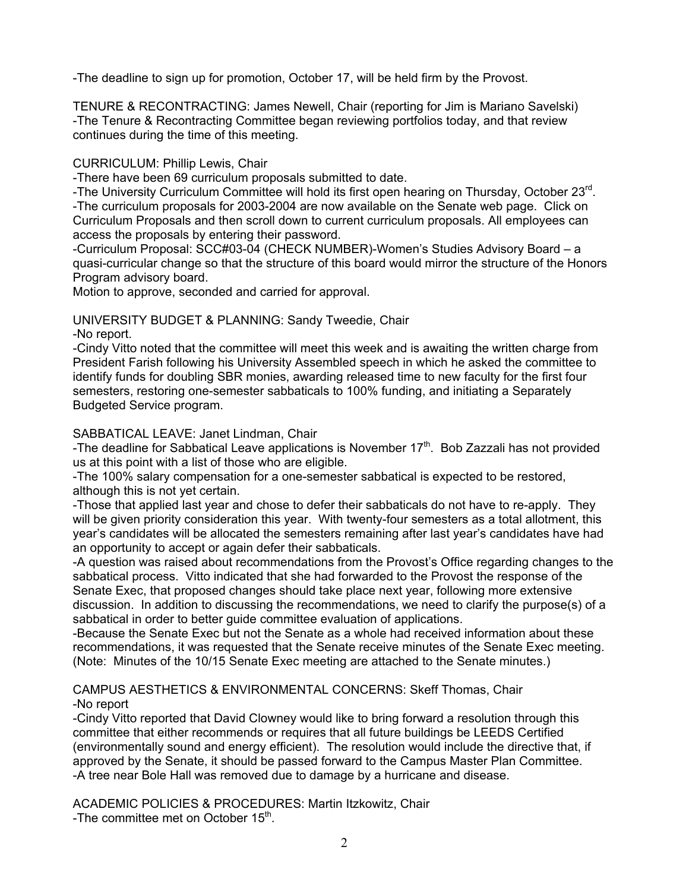-The deadline to sign up for promotion, October 17, will be held firm by the Provost.

TENURE & RECONTRACTING: James Newell, Chair (reporting for Jim is Mariano Savelski) -The Tenure & Recontracting Committee began reviewing portfolios today, and that review continues during the time of this meeting.

CURRICULUM: Phillip Lewis, Chair

-There have been 69 curriculum proposals submitted to date.

-The University Curriculum Committee will hold its first open hearing on Thursday, October 23<sup>rd</sup>. -The curriculum proposals for 2003-2004 are now available on the Senate web page. Click on Curriculum Proposals and then scroll down to current curriculum proposals. All employees can access the proposals by entering their password.

-Curriculum Proposal: SCC#03-04 (CHECK NUMBER)-Women's Studies Advisory Board – a quasi-curricular change so that the structure of this board would mirror the structure of the Honors Program advisory board.

Motion to approve, seconded and carried for approval.

UNIVERSITY BUDGET & PLANNING: Sandy Tweedie, Chair -No report.

-Cindy Vitto noted that the committee will meet this week and is awaiting the written charge from President Farish following his University Assembled speech in which he asked the committee to identify funds for doubling SBR monies, awarding released time to new faculty for the first four semesters, restoring one-semester sabbaticals to 100% funding, and initiating a Separately Budgeted Service program.

# SABBATICAL LEAVE: Janet Lindman, Chair

-The deadline for Sabbatical Leave applications is November  $17<sup>th</sup>$ . Bob Zazzali has not provided us at this point with a list of those who are eligible.

-The 100% salary compensation for a one-semester sabbatical is expected to be restored, although this is not yet certain.

-Those that applied last year and chose to defer their sabbaticals do not have to re-apply. They will be given priority consideration this year. With twenty-four semesters as a total allotment, this year's candidates will be allocated the semesters remaining after last year's candidates have had an opportunity to accept or again defer their sabbaticals.

-A question was raised about recommendations from the Provost's Office regarding changes to the sabbatical process. Vitto indicated that she had forwarded to the Provost the response of the Senate Exec, that proposed changes should take place next year, following more extensive discussion. In addition to discussing the recommendations, we need to clarify the purpose(s) of a sabbatical in order to better guide committee evaluation of applications.

-Because the Senate Exec but not the Senate as a whole had received information about these recommendations, it was requested that the Senate receive minutes of the Senate Exec meeting. (Note: Minutes of the 10/15 Senate Exec meeting are attached to the Senate minutes.)

CAMPUS AESTHETICS & ENVIRONMENTAL CONCERNS: Skeff Thomas, Chair -No report

-Cindy Vitto reported that David Clowney would like to bring forward a resolution through this committee that either recommends or requires that all future buildings be LEEDS Certified (environmentally sound and energy efficient). The resolution would include the directive that, if approved by the Senate, it should be passed forward to the Campus Master Plan Committee. -A tree near Bole Hall was removed due to damage by a hurricane and disease.

ACADEMIC POLICIES & PROCEDURES: Martin Itzkowitz, Chair -The committee met on October 15<sup>th</sup>.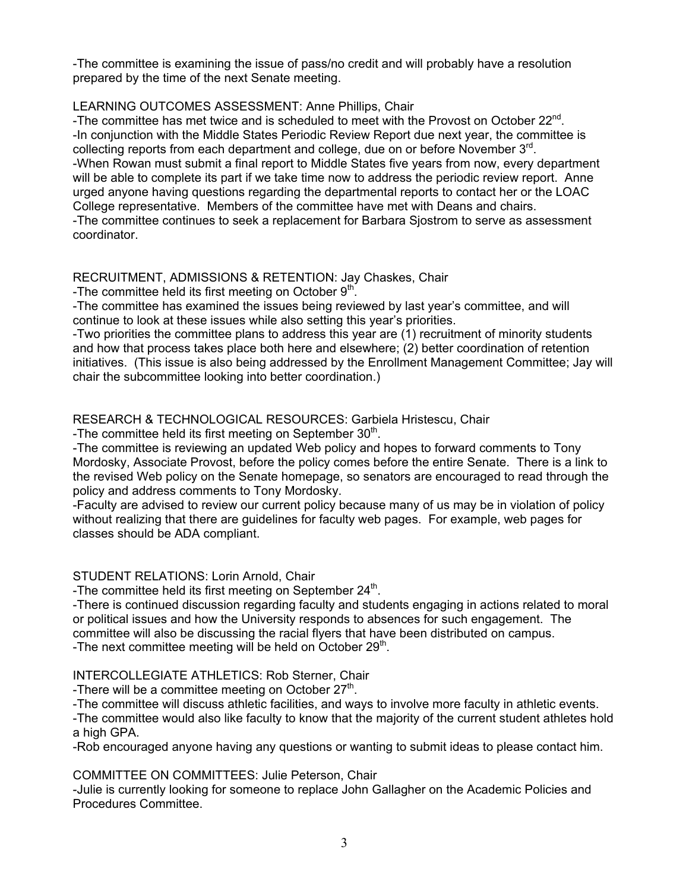-The committee is examining the issue of pass/no credit and will probably have a resolution prepared by the time of the next Senate meeting.

## LEARNING OUTCOMES ASSESSMENT: Anne Phillips, Chair

-The committee has met twice and is scheduled to meet with the Provost on October  $22^{\text{nd}}$ . -In conjunction with the Middle States Periodic Review Report due next year, the committee is collecting reports from each department and college, due on or before November  $3<sup>rd</sup>$ . -When Rowan must submit a final report to Middle States five years from now, every department will be able to complete its part if we take time now to address the periodic review report. Anne urged anyone having questions regarding the departmental reports to contact her or the LOAC College representative. Members of the committee have met with Deans and chairs. -The committee continues to seek a replacement for Barbara Sjostrom to serve as assessment coordinator.

# RECRUITMENT, ADMISSIONS & RETENTION: Jay Chaskes, Chair

-The committee held its first meeting on October 9th.

-The committee has examined the issues being reviewed by last year's committee, and will continue to look at these issues while also setting this year's priorities.

-Two priorities the committee plans to address this year are (1) recruitment of minority students and how that process takes place both here and elsewhere; (2) better coordination of retention initiatives. (This issue is also being addressed by the Enrollment Management Committee; Jay will chair the subcommittee looking into better coordination.)

# RESEARCH & TECHNOLOGICAL RESOURCES: Garbiela Hristescu, Chair

-The committee held its first meeting on September  $30<sup>th</sup>$ .

-The committee is reviewing an updated Web policy and hopes to forward comments to Tony Mordosky, Associate Provost, before the policy comes before the entire Senate. There is a link to the revised Web policy on the Senate homepage, so senators are encouraged to read through the policy and address comments to Tony Mordosky.

-Faculty are advised to review our current policy because many of us may be in violation of policy without realizing that there are guidelines for faculty web pages. For example, web pages for classes should be ADA compliant.

# STUDENT RELATIONS: Lorin Arnold, Chair

-The committee held its first meeting on September  $24<sup>th</sup>$ .

-There is continued discussion regarding faculty and students engaging in actions related to moral or political issues and how the University responds to absences for such engagement. The committee will also be discussing the racial flyers that have been distributed on campus. -The next committee meeting will be held on October  $29<sup>th</sup>$ .

# INTERCOLLEGIATE ATHLETICS: Rob Sterner, Chair

-There will be a committee meeting on October  $27<sup>th</sup>$ .

-The committee will discuss athletic facilities, and ways to involve more faculty in athletic events. -The committee would also like faculty to know that the majority of the current student athletes hold a high GPA.

-Rob encouraged anyone having any questions or wanting to submit ideas to please contact him.

COMMITTEE ON COMMITTEES: Julie Peterson, Chair

-Julie is currently looking for someone to replace John Gallagher on the Academic Policies and Procedures Committee.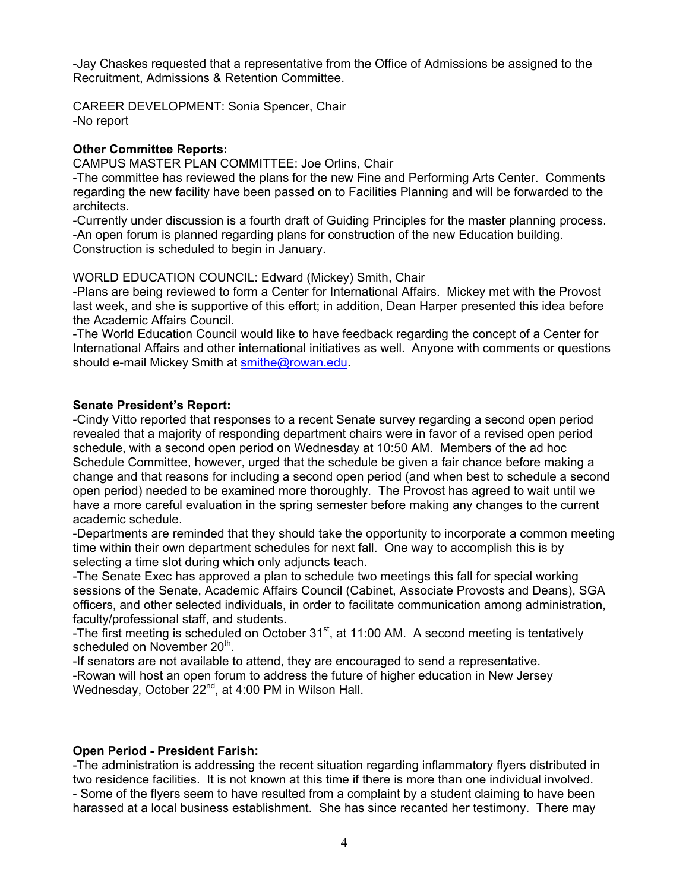-Jay Chaskes requested that a representative from the Office of Admissions be assigned to the Recruitment, Admissions & Retention Committee.

CAREER DEVELOPMENT: Sonia Spencer, Chair -No report

#### **Other Committee Reports:**

CAMPUS MASTER PLAN COMMITTEE: Joe Orlins, Chair

-The committee has reviewed the plans for the new Fine and Performing Arts Center. Comments regarding the new facility have been passed on to Facilities Planning and will be forwarded to the architects.

-Currently under discussion is a fourth draft of Guiding Principles for the master planning process. -An open forum is planned regarding plans for construction of the new Education building. Construction is scheduled to begin in January.

WORLD EDUCATION COUNCIL: Edward (Mickey) Smith, Chair

-Plans are being reviewed to form a Center for International Affairs. Mickey met with the Provost last week, and she is supportive of this effort; in addition, Dean Harper presented this idea before the Academic Affairs Council.

-The World Education Council would like to have feedback regarding the concept of a Center for International Affairs and other international initiatives as well. Anyone with comments or questions should e-mail Mickey Smith at [smithe@rowan.edu.](mailto:smithe@rowan.edu)

#### **Senate President's Report:**

-Cindy Vitto reported that responses to a recent Senate survey regarding a second open period revealed that a majority of responding department chairs were in favor of a revised open period schedule, with a second open period on Wednesday at 10:50 AM. Members of the ad hoc Schedule Committee, however, urged that the schedule be given a fair chance before making a change and that reasons for including a second open period (and when best to schedule a second open period) needed to be examined more thoroughly. The Provost has agreed to wait until we have a more careful evaluation in the spring semester before making any changes to the current academic schedule.

-Departments are reminded that they should take the opportunity to incorporate a common meeting time within their own department schedules for next fall. One way to accomplish this is by selecting a time slot during which only adjuncts teach.

-The Senate Exec has approved a plan to schedule two meetings this fall for special working sessions of the Senate, Academic Affairs Council (Cabinet, Associate Provosts and Deans), SGA officers, and other selected individuals, in order to facilitate communication among administration, faculty/professional staff, and students.

-The first meeting is scheduled on October  $31<sup>st</sup>$ , at 11:00 AM. A second meeting is tentatively scheduled on November 20<sup>th</sup>.

-If senators are not available to attend, they are encouraged to send a representative. -Rowan will host an open forum to address the future of higher education in New Jersey Wednesday, October 22<sup>nd</sup>, at 4:00 PM in Wilson Hall.

## **Open Period - President Farish:**

-The administration is addressing the recent situation regarding inflammatory flyers distributed in two residence facilities. It is not known at this time if there is more than one individual involved. - Some of the flyers seem to have resulted from a complaint by a student claiming to have been harassed at a local business establishment. She has since recanted her testimony. There may